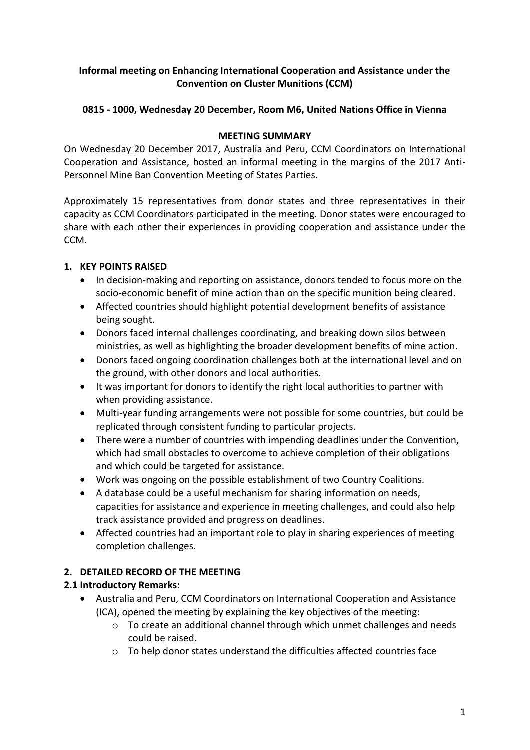#### **Informal meeting on Enhancing International Cooperation and Assistance under the Convention on Cluster Munitions (CCM)**

# **0815 - 1000, Wednesday 20 December, Room M6, United Nations Office in Vienna**

#### **MEETING SUMMARY**

On Wednesday 20 December 2017, Australia and Peru, CCM Coordinators on International Cooperation and Assistance, hosted an informal meeting in the margins of the 2017 Anti-Personnel Mine Ban Convention Meeting of States Parties.

Approximately 15 representatives from donor states and three representatives in their capacity as CCM Coordinators participated in the meeting. Donor states were encouraged to share with each other their experiences in providing cooperation and assistance under the CCM.

#### **1. KEY POINTS RAISED**

- In decision-making and reporting on assistance, donors tended to focus more on the socio-economic benefit of mine action than on the specific munition being cleared.
- Affected countries should highlight potential development benefits of assistance being sought.
- Donors faced internal challenges coordinating, and breaking down silos between ministries, as well as highlighting the broader development benefits of mine action.
- Donors faced ongoing coordination challenges both at the international level and on the ground, with other donors and local authorities.
- It was important for donors to identify the right local authorities to partner with when providing assistance.
- Multi-year funding arrangements were not possible for some countries, but could be replicated through consistent funding to particular projects.
- There were a number of countries with impending deadlines under the Convention, which had small obstacles to overcome to achieve completion of their obligations and which could be targeted for assistance.
- Work was ongoing on the possible establishment of two Country Coalitions.
- A database could be a useful mechanism for sharing information on needs, capacities for assistance and experience in meeting challenges, and could also help track assistance provided and progress on deadlines.
- Affected countries had an important role to play in sharing experiences of meeting completion challenges.

# **2. DETAILED RECORD OF THE MEETING**

# **2.1 Introductory Remarks:**

- Australia and Peru, CCM Coordinators on International Cooperation and Assistance (ICA), opened the meeting by explaining the key objectives of the meeting:
	- $\circ$  To create an additional channel through which unmet challenges and needs could be raised.
	- o To help donor states understand the difficulties affected countries face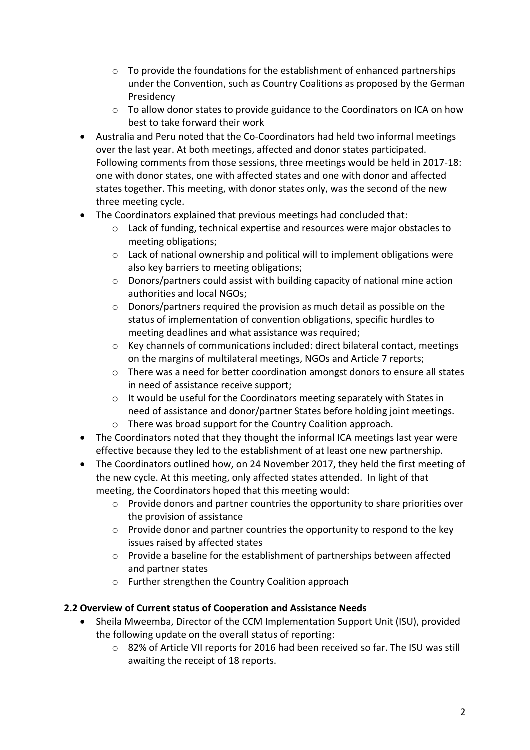- $\circ$  To provide the foundations for the establishment of enhanced partnerships under the Convention, such as Country Coalitions as proposed by the German Presidency
- $\circ$  To allow donor states to provide guidance to the Coordinators on ICA on how best to take forward their work
- Australia and Peru noted that the Co-Coordinators had held two informal meetings over the last year. At both meetings, affected and donor states participated. Following comments from those sessions, three meetings would be held in 2017-18: one with donor states, one with affected states and one with donor and affected states together. This meeting, with donor states only, was the second of the new three meeting cycle.
- The Coordinators explained that previous meetings had concluded that:
	- o Lack of funding, technical expertise and resources were major obstacles to meeting obligations;
	- o Lack of national ownership and political will to implement obligations were also key barriers to meeting obligations;
	- $\circ$  Donors/partners could assist with building capacity of national mine action authorities and local NGOs;
	- o Donors/partners required the provision as much detail as possible on the status of implementation of convention obligations, specific hurdles to meeting deadlines and what assistance was required;
	- o Key channels of communications included: direct bilateral contact, meetings on the margins of multilateral meetings, NGOs and Article 7 reports;
	- o There was a need for better coordination amongst donors to ensure all states in need of assistance receive support;
	- o It would be useful for the Coordinators meeting separately with States in need of assistance and donor/partner States before holding joint meetings.
	- o There was broad support for the Country Coalition approach.
- The Coordinators noted that they thought the informal ICA meetings last year were effective because they led to the establishment of at least one new partnership.
- The Coordinators outlined how, on 24 November 2017, they held the first meeting of the new cycle. At this meeting, only affected states attended. In light of that meeting, the Coordinators hoped that this meeting would:
	- o Provide donors and partner countries the opportunity to share priorities over the provision of assistance
	- o Provide donor and partner countries the opportunity to respond to the key issues raised by affected states
	- o Provide a baseline for the establishment of partnerships between affected and partner states
	- o Further strengthen the Country Coalition approach

# **2.2 Overview of Current status of Cooperation and Assistance Needs**

- Sheila Mweemba, Director of the CCM Implementation Support Unit (ISU), provided the following update on the overall status of reporting:
	- o 82% of Article VII reports for 2016 had been received so far. The ISU was still awaiting the receipt of 18 reports.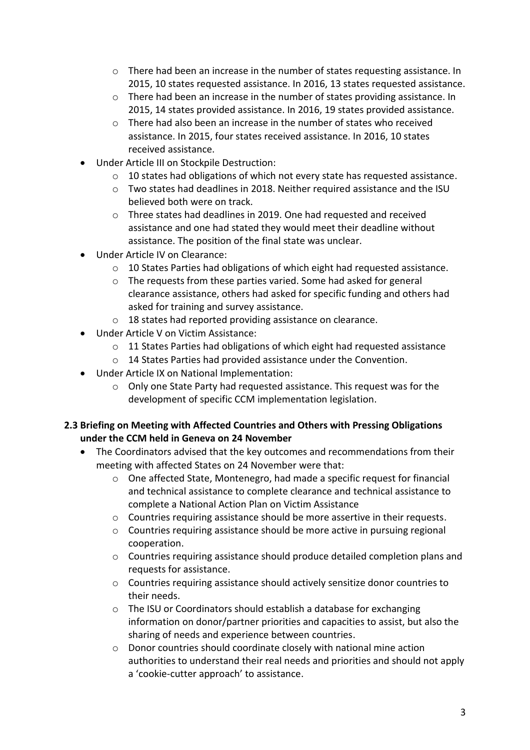- o There had been an increase in the number of states requesting assistance. In 2015, 10 states requested assistance. In 2016, 13 states requested assistance.
- $\circ$  There had been an increase in the number of states providing assistance. In 2015, 14 states provided assistance. In 2016, 19 states provided assistance.
- $\circ$  There had also been an increase in the number of states who received assistance. In 2015, four states received assistance. In 2016, 10 states received assistance.
- Under Article III on Stockpile Destruction:
	- o 10 states had obligations of which not every state has requested assistance.
	- o Two states had deadlines in 2018. Neither required assistance and the ISU believed both were on track.
	- o Three states had deadlines in 2019. One had requested and received assistance and one had stated they would meet their deadline without assistance. The position of the final state was unclear.
- Under Article IV on Clearance:
	- o 10 States Parties had obligations of which eight had requested assistance.
	- o The requests from these parties varied. Some had asked for general clearance assistance, others had asked for specific funding and others had asked for training and survey assistance.
	- o 18 states had reported providing assistance on clearance.
- Under Article V on Victim Assistance:
	- $\circ$  11 States Parties had obligations of which eight had requested assistance
	- o 14 States Parties had provided assistance under the Convention.
- Under Article IX on National Implementation:
	- o Only one State Party had requested assistance. This request was for the development of specific CCM implementation legislation.

#### **2.3 Briefing on Meeting with Affected Countries and Others with Pressing Obligations under the CCM held in Geneva on 24 November**

- The Coordinators advised that the key outcomes and recommendations from their meeting with affected States on 24 November were that:
	- o One affected State, Montenegro, had made a specific request for financial and technical assistance to complete clearance and technical assistance to complete a National Action Plan on Victim Assistance
	- $\circ$  Countries requiring assistance should be more assertive in their requests.
	- o Countries requiring assistance should be more active in pursuing regional cooperation.
	- o Countries requiring assistance should produce detailed completion plans and requests for assistance.
	- $\circ$  Countries requiring assistance should actively sensitize donor countries to their needs.
	- o The ISU or Coordinators should establish a database for exchanging information on donor/partner priorities and capacities to assist, but also the sharing of needs and experience between countries.
	- o Donor countries should coordinate closely with national mine action authorities to understand their real needs and priorities and should not apply a 'cookie-cutter approach' to assistance.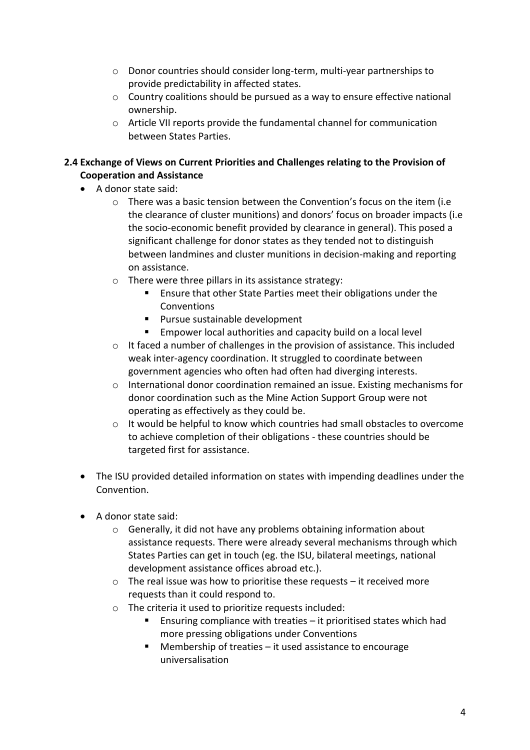- o Donor countries should consider long-term, multi-year partnerships to provide predictability in affected states.
- o Country coalitions should be pursued as a way to ensure effective national ownership.
- o Article VII reports provide the fundamental channel for communication between States Parties.

# **2.4 Exchange of Views on Current Priorities and Challenges relating to the Provision of Cooperation and Assistance**

- A donor state said:
	- $\circ$  There was a basic tension between the Convention's focus on the item (i.e the clearance of cluster munitions) and donors' focus on broader impacts (i.e the socio-economic benefit provided by clearance in general). This posed a significant challenge for donor states as they tended not to distinguish between landmines and cluster munitions in decision-making and reporting on assistance.
	- o There were three pillars in its assistance strategy:
		- **Ensure that other State Parties meet their obligations under the** Conventions
		- **Pursue sustainable development**
		- **Empower local authorities and capacity build on a local level**
	- o It faced a number of challenges in the provision of assistance. This included weak inter-agency coordination. It struggled to coordinate between government agencies who often had often had diverging interests.
	- o International donor coordination remained an issue. Existing mechanisms for donor coordination such as the Mine Action Support Group were not operating as effectively as they could be.
	- $\circ$  It would be helpful to know which countries had small obstacles to overcome to achieve completion of their obligations - these countries should be targeted first for assistance.
- The ISU provided detailed information on states with impending deadlines under the Convention.
- A donor state said:
	- o Generally, it did not have any problems obtaining information about assistance requests. There were already several mechanisms through which States Parties can get in touch (eg. the ISU, bilateral meetings, national development assistance offices abroad etc.).
	- $\circ$  The real issue was how to prioritise these requests it received more requests than it could respond to.
	- o The criteria it used to prioritize requests included:
		- Ensuring compliance with treaties it prioritised states which had more pressing obligations under Conventions
		- $\blacksquare$  Membership of treaties it used assistance to encourage universalisation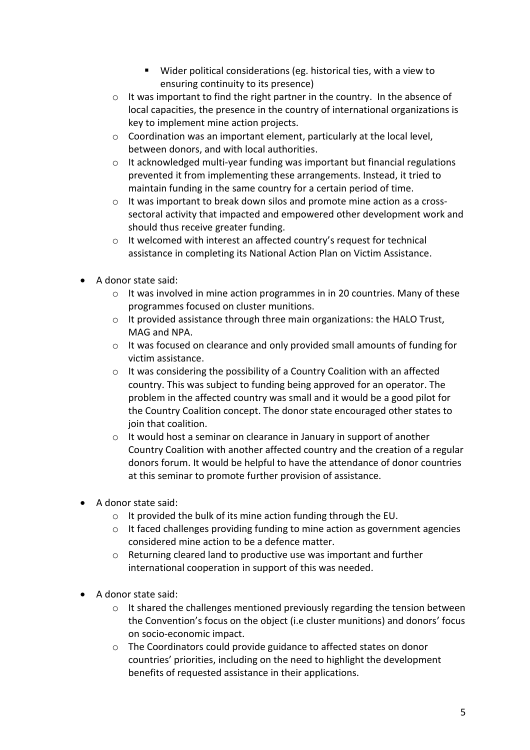- Wider political considerations (eg. historical ties, with a view to ensuring continuity to its presence)
- o It was important to find the right partner in the country. In the absence of local capacities, the presence in the country of international organizations is key to implement mine action projects.
- o Coordination was an important element, particularly at the local level, between donors, and with local authorities.
- $\circ$  It acknowledged multi-year funding was important but financial regulations prevented it from implementing these arrangements. Instead, it tried to maintain funding in the same country for a certain period of time.
- $\circ$  It was important to break down silos and promote mine action as a crosssectoral activity that impacted and empowered other development work and should thus receive greater funding.
- o It welcomed with interest an affected country's request for technical assistance in completing its National Action Plan on Victim Assistance.
- A donor state said:
	- o It was involved in mine action programmes in in 20 countries. Many of these programmes focused on cluster munitions.
	- o It provided assistance through three main organizations: the HALO Trust, MAG and NPA.
	- o It was focused on clearance and only provided small amounts of funding for victim assistance.
	- o It was considering the possibility of a Country Coalition with an affected country. This was subject to funding being approved for an operator. The problem in the affected country was small and it would be a good pilot for the Country Coalition concept. The donor state encouraged other states to join that coalition.
	- o It would host a seminar on clearance in January in support of another Country Coalition with another affected country and the creation of a regular donors forum. It would be helpful to have the attendance of donor countries at this seminar to promote further provision of assistance.
- A donor state said:
	- o It provided the bulk of its mine action funding through the EU.
	- o It faced challenges providing funding to mine action as government agencies considered mine action to be a defence matter.
	- o Returning cleared land to productive use was important and further international cooperation in support of this was needed.
- A donor state said:
	- o It shared the challenges mentioned previously regarding the tension between the Convention's focus on the object (i.e cluster munitions) and donors' focus on socio-economic impact.
	- o The Coordinators could provide guidance to affected states on donor countries' priorities, including on the need to highlight the development benefits of requested assistance in their applications.